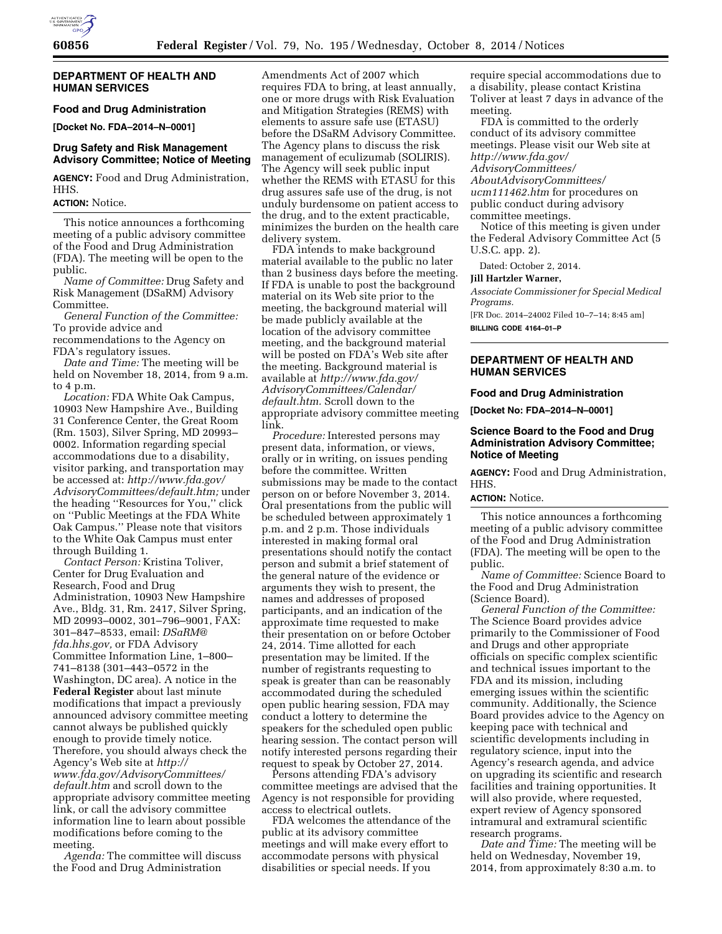

### **DEPARTMENT OF HEALTH AND HUMAN SERVICES**

**Food and Drug Administration [Docket No. FDA–2014–N–0001]** 

### **Drug Safety and Risk Management Advisory Committee; Notice of Meeting**

**AGENCY:** Food and Drug Administration, HHS.

# **ACTION:** Notice.

This notice announces a forthcoming meeting of a public advisory committee of the Food and Drug Administration (FDA). The meeting will be open to the public.

*Name of Committee:* Drug Safety and Risk Management (DSaRM) Advisory Committee.

*General Function of the Committee:*  To provide advice and

recommendations to the Agency on

FDA's regulatory issues.

*Date and Time:* The meeting will be held on November 18, 2014, from 9 a.m. to 4 p.m.

*Location:* FDA White Oak Campus, 10903 New Hampshire Ave., Building 31 Conference Center, the Great Room (Rm. 1503), Silver Spring, MD 20993– 0002. Information regarding special accommodations due to a disability, visitor parking, and transportation may be accessed at: *[http://www.fda.gov/](http://www.fda.gov/AdvisoryCommittees/default.htm) [AdvisoryCommittees/default.htm;](http://www.fda.gov/AdvisoryCommittees/default.htm)* under the heading ''Resources for You,'' click on ''Public Meetings at the FDA White Oak Campus.'' Please note that visitors to the White Oak Campus must enter through Building 1.

*Contact Person:* Kristina Toliver, Center for Drug Evaluation and Research, Food and Drug Administration, 10903 New Hampshire Ave., Bldg. 31, Rm. 2417, Silver Spring, MD 20993–0002, 301–796–9001, FAX: 301–847–8533, email: *[DSaRM@](mailto:DSaRM@fda.hhs.gov) [fda.hhs.gov,](mailto:DSaRM@fda.hhs.gov)* or FDA Advisory Committee Information Line, 1–800– 741–8138 (301–443–0572 in the Washington, DC area). A notice in the **Federal Register** about last minute modifications that impact a previously announced advisory committee meeting cannot always be published quickly enough to provide timely notice. Therefore, you should always check the Agency's Web site at *[http://](http://www.fda.gov/AdvisoryCommittees/default.htm) [www.fda.gov/AdvisoryCommittees/](http://www.fda.gov/AdvisoryCommittees/default.htm) [default.htm](http://www.fda.gov/AdvisoryCommittees/default.htm)* and scroll down to the appropriate advisory committee meeting link, or call the advisory committee information line to learn about possible modifications before coming to the meeting.

*Agenda:* The committee will discuss the Food and Drug Administration

Amendments Act of 2007 which requires FDA to bring, at least annually, one or more drugs with Risk Evaluation and Mitigation Strategies (REMS) with elements to assure safe use (ETASU) before the DSaRM Advisory Committee. The Agency plans to discuss the risk management of eculizumab (SOLIRIS). The Agency will seek public input whether the REMS with ETASU for this drug assures safe use of the drug, is not unduly burdensome on patient access to the drug, and to the extent practicable, minimizes the burden on the health care delivery system.

FDA intends to make background material available to the public no later than 2 business days before the meeting. If FDA is unable to post the background material on its Web site prior to the meeting, the background material will be made publicly available at the location of the advisory committee meeting, and the background material will be posted on FDA's Web site after the meeting. Background material is available at *[http://www.fda.gov/](http://www.fda.gov/AdvisoryCommittees/Calendar/default.htm) [AdvisoryCommittees/Calendar/](http://www.fda.gov/AdvisoryCommittees/Calendar/default.htm) [default.htm.](http://www.fda.gov/AdvisoryCommittees/Calendar/default.htm)* Scroll down to the appropriate advisory committee meeting link.

*Procedure:* Interested persons may present data, information, or views, orally or in writing, on issues pending before the committee. Written submissions may be made to the contact person on or before November 3, 2014. Oral presentations from the public will be scheduled between approximately 1 p.m. and 2 p.m. Those individuals interested in making formal oral presentations should notify the contact person and submit a brief statement of the general nature of the evidence or arguments they wish to present, the names and addresses of proposed participants, and an indication of the approximate time requested to make their presentation on or before October 24, 2014. Time allotted for each presentation may be limited. If the number of registrants requesting to speak is greater than can be reasonably accommodated during the scheduled open public hearing session, FDA may conduct a lottery to determine the speakers for the scheduled open public hearing session. The contact person will notify interested persons regarding their request to speak by October 27, 2014.

Persons attending FDA's advisory committee meetings are advised that the Agency is not responsible for providing access to electrical outlets.

FDA welcomes the attendance of the public at its advisory committee meetings and will make every effort to accommodate persons with physical disabilities or special needs. If you

require special accommodations due to a disability, please contact Kristina Toliver at least 7 days in advance of the meeting.

FDA is committed to the orderly conduct of its advisory committee meetings. Please visit our Web site at *[http://www.fda.gov/](http://www.fda.gov/AdvisoryCommittees/AboutAdvisoryCommittees/ucm111462.htm) [AdvisoryCommittees/](http://www.fda.gov/AdvisoryCommittees/AboutAdvisoryCommittees/ucm111462.htm) [AboutAdvisoryCommittees/](http://www.fda.gov/AdvisoryCommittees/AboutAdvisoryCommittees/ucm111462.htm) [ucm111462.htm](http://www.fda.gov/AdvisoryCommittees/AboutAdvisoryCommittees/ucm111462.htm)* for procedures on public conduct during advisory committee meetings.

Notice of this meeting is given under the Federal Advisory Committee Act (5 U.S.C. app. 2).

Dated: October 2, 2014.

## **Jill Hartzler Warner,**

*Associate Commissioner for Special Medical Programs.* 

[FR Doc. 2014–24002 Filed 10–7–14; 8:45 am] **BILLING CODE 4164–01–P** 

### **DEPARTMENT OF HEALTH AND HUMAN SERVICES**

#### **Food and Drug Administration**

**[Docket No: FDA–2014–N–0001]** 

### **Science Board to the Food and Drug Administration Advisory Committee; Notice of Meeting**

**AGENCY:** Food and Drug Administration, HHS.

## **ACTION:** Notice.

This notice announces a forthcoming meeting of a public advisory committee of the Food and Drug Administration (FDA). The meeting will be open to the public.

*Name of Committee:* Science Board to the Food and Drug Administration (Science Board).

*General Function of the Committee:*  The Science Board provides advice primarily to the Commissioner of Food and Drugs and other appropriate officials on specific complex scientific and technical issues important to the FDA and its mission, including emerging issues within the scientific community. Additionally, the Science Board provides advice to the Agency on keeping pace with technical and scientific developments including in regulatory science, input into the Agency's research agenda, and advice on upgrading its scientific and research facilities and training opportunities. It will also provide, where requested, expert review of Agency sponsored intramural and extramural scientific research programs.

*Date and Time:* The meeting will be held on Wednesday, November 19, 2014, from approximately 8:30 a.m. to